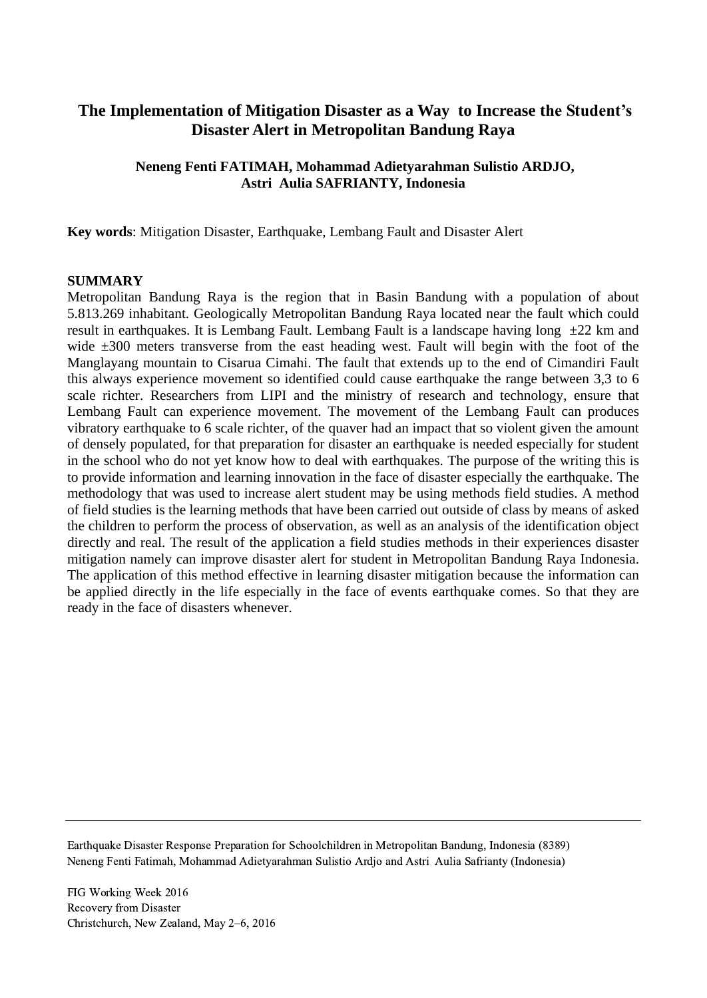# **The Implementation of Mitigation Disaster as a Way to Increase the Student's Disaster Alert in Metropolitan Bandung Raya**

## **Neneng Fenti FATIMAH, Mohammad Adietyarahman Sulistio ARDJO, Astri Aulia SAFRIANTY, Indonesia**

**Key words**: Mitigation Disaster, Earthquake, Lembang Fault and Disaster Alert

#### **SUMMARY**

Metropolitan Bandung Raya is the region that in Basin Bandung with a population of about 5.813.269 inhabitant. Geologically Metropolitan Bandung Raya located near the fault which could result in earthquakes. It is Lembang Fault. Lembang Fault is a landscape having long  $\pm 22$  km and wide  $\pm 300$  meters transverse from the east heading west. Fault will begin with the foot of the Manglayang mountain to Cisarua Cimahi. The fault that extends up to the end of Cimandiri Fault this always experience movement so identified could cause earthquake the range between 3,3 to 6 scale richter. Researchers from LIPI and the ministry of research and technology, ensure that Lembang Fault can experience movement. The movement of the Lembang Fault can produces vibratory earthquake to 6 scale richter, of the quaver had an impact that so violent given the amount of densely populated, for that preparation for disaster an earthquake is needed especially for student in the school who do not yet know how to deal with earthquakes. The purpose of the writing this is to provide information and learning innovation in the face of disaster especially the earthquake. The methodology that was used to increase alert student may be using methods field studies. A method of field studies is the learning methods that have been carried out outside of class by means of asked the children to perform the process of observation, as well as an analysis of the identification object directly and real. The result of the application a field studies methods in their experiences disaster mitigation namely can improve disaster alert for student in Metropolitan Bandung Raya Indonesia. The application of this method effective in learning disaster mitigation because the information can be applied directly in the life especially in the face of events earthquake comes. So that they are ready in the face of disasters whenever.

Earthquake Disaster Response Preparation for Schoolchildren in Metropolitan Bandung, Indonesia (8389) Neneng Fenti Fatimah, Mohammad Adietyarahman Sulistio Ardjo and Astri Aulia Safrianty (Indonesia)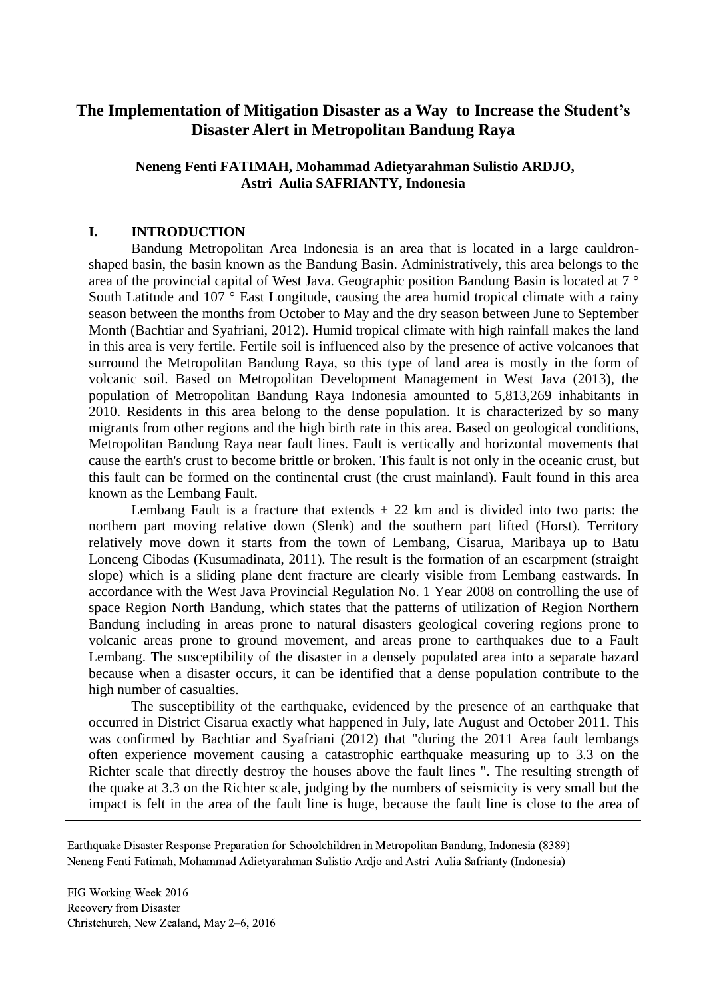# **The Implementation of Mitigation Disaster as a Way to Increase the Student's Disaster Alert in Metropolitan Bandung Raya**

# **Neneng Fenti FATIMAH, Mohammad Adietyarahman Sulistio ARDJO, Astri Aulia SAFRIANTY, Indonesia**

### **I. INTRODUCTION**

Bandung Metropolitan Area Indonesia is an area that is located in a large cauldronshaped basin, the basin known as the Bandung Basin. Administratively, this area belongs to the area of the provincial capital of West Java. Geographic position Bandung Basin is located at 7 ° South Latitude and 107 ° East Longitude, causing the area humid tropical climate with a rainy season between the months from October to May and the dry season between June to September Month (Bachtiar and Syafriani, 2012). Humid tropical climate with high rainfall makes the land in this area is very fertile. Fertile soil is influenced also by the presence of active volcanoes that surround the Metropolitan Bandung Raya, so this type of land area is mostly in the form of volcanic soil. Based on Metropolitan Development Management in West Java (2013), the population of Metropolitan Bandung Raya Indonesia amounted to 5,813,269 inhabitants in 2010. Residents in this area belong to the dense population. It is characterized by so many migrants from other regions and the high birth rate in this area. Based on geological conditions, Metropolitan Bandung Raya near fault lines. Fault is vertically and horizontal movements that cause the earth's crust to become brittle or broken. This fault is not only in the oceanic crust, but this fault can be formed on the continental crust (the crust mainland). Fault found in this area known as the Lembang Fault.

Lembang Fault is a fracture that extends  $\pm$  22 km and is divided into two parts: the northern part moving relative down (Slenk) and the southern part lifted (Horst). Territory relatively move down it starts from the town of Lembang, Cisarua, Maribaya up to Batu Lonceng Cibodas (Kusumadinata, 2011). The result is the formation of an escarpment (straight slope) which is a sliding plane dent fracture are clearly visible from Lembang eastwards. In accordance with the West Java Provincial Regulation No. 1 Year 2008 on controlling the use of space Region North Bandung, which states that the patterns of utilization of Region Northern Bandung including in areas prone to natural disasters geological covering regions prone to volcanic areas prone to ground movement, and areas prone to earthquakes due to a Fault Lembang. The susceptibility of the disaster in a densely populated area into a separate hazard because when a disaster occurs, it can be identified that a dense population contribute to the high number of casualties.

The susceptibility of the earthquake, evidenced by the presence of an earthquake that occurred in District Cisarua exactly what happened in July, late August and October 2011. This was confirmed by Bachtiar and Syafriani (2012) that "during the 2011 Area fault lembangs often experience movement causing a catastrophic earthquake measuring up to 3.3 on the Richter scale that directly destroy the houses above the fault lines ". The resulting strength of the quake at 3.3 on the Richter scale, judging by the numbers of seismicity is very small but the impact is felt in the area of the fault line is huge, because the fault line is close to the area of

Earthquake Disaster Response Preparation for Schoolchildren in Metropolitan Bandung, Indonesia (8389) Neneng Fenti Fatimah, Mohammad Adietyarahman Sulistio Ardjo and Astri Aulia Safrianty (Indonesia)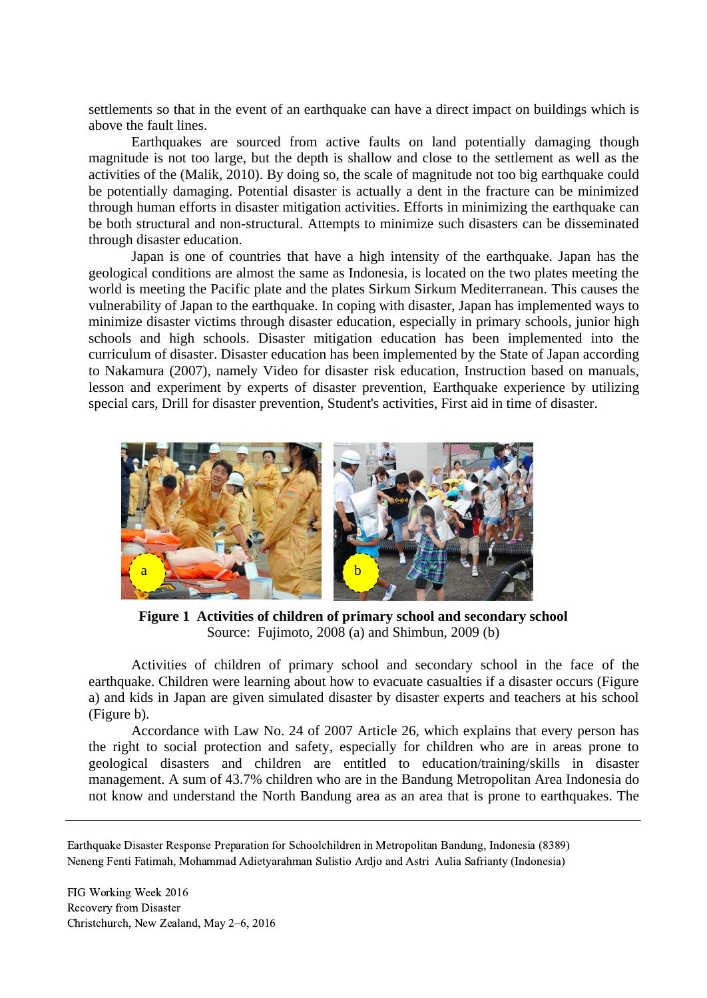settlements so that in the event of an earthquake can have a direct impact on buildings which is above the fault lines.

Earthquakes are sourced from active faults on land potentially damaging though magnitude is not too large, but the depth is shallow and close to the settlement as well as the activities of the (Malik, 2010). By doing so, the scale of magnitude not too big earthquake could be potentially damaging. Potential disaster is actually a dent in the fracture can be minimized through human efforts in disaster mitigation activities. Efforts in minimizing the earthquake can be both structural and non-structural. Attempts to minimize such disasters can be disseminated through disaster education.

Japan is one of countries that have a high intensity of the earthquake. Japan has the geological conditions are almost the same as Indonesia, is located on the two plates meeting the world is meeting the Pacific plate and the plates Sirkum Sirkum Mediterranean. This causes the vulnerability of Japan to the earthquake. In coping with disaster, Japan has implemented ways to minimize disaster victims through disaster education, especially in primary schools, junior high schools and high schools. Disaster mitigation education has been implemented into the curriculum of disaster. Disaster education has been implemented by the State of Japan according to Nakamura (2007), namely Video for disaster risk education, Instruction based on manuals, lesson and experiment by experts of disaster prevention, Earthquake experience by utilizing special cars, Drill for disaster prevention, Student's activities, First aid in time of disaster.



**Figure 1 Activities of children of primary school and secondary school**  Source: Fujimoto, 2008 (a) and Shimbun, 2009 (b)

Activities of children of primary school and secondary school in the face of the earthquake. Children were learning about how to evacuate casualties if a disaster occurs (Figure a) and kids in Japan are given simulated disaster by disaster experts and teachers at his school (Figure b).

Accordance with Law No. 24 of 2007 Article 26, which explains that every person has the right to social protection and safety, especially for children who are in areas prone to geological disasters and children are entitled to education/training/skills in disaster management. A sum of 43.7% children who are in the Bandung Metropolitan Area Indonesia do not know and understand the North Bandung area as an area that is prone to earthquakes. The

Earthquake Disaster Response Preparation for Schoolchildren in Metropolitan Bandung, Indonesia (8389) Neneng Fenti Fatimah, Mohammad Adietyarahman Sulistio Ardjo and Astri Aulia Safrianty (Indonesia)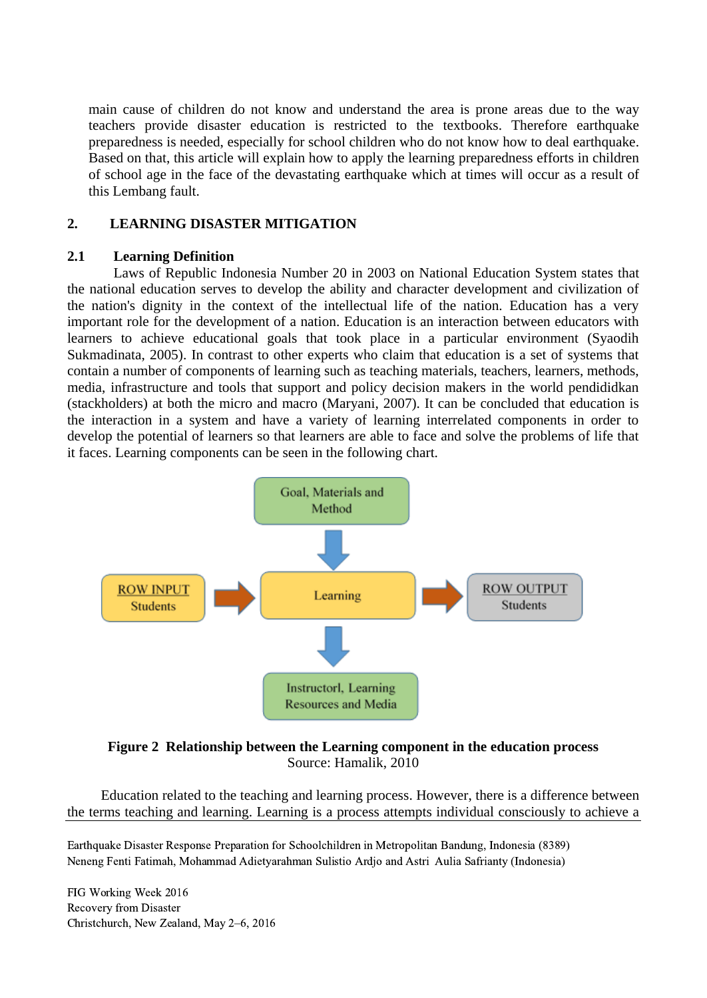main cause of children do not know and understand the area is prone areas due to the way teachers provide disaster education is restricted to the textbooks. Therefore earthquake preparedness is needed, especially for school children who do not know how to deal earthquake. Based on that, this article will explain how to apply the learning preparedness efforts in children of school age in the face of the devastating earthquake which at times will occur as a result of this Lembang fault.

# **2. LEARNING DISASTER MITIGATION**

### **2.1 Learning Definition**

Laws of Republic Indonesia Number 20 in 2003 on National Education System states that the national education serves to develop the ability and character development and civilization of the nation's dignity in the context of the intellectual life of the nation. Education has a very important role for the development of a nation. Education is an interaction between educators with learners to achieve educational goals that took place in a particular environment (Syaodih Sukmadinata, 2005). In contrast to other experts who claim that education is a set of systems that contain a number of components of learning such as teaching materials, teachers, learners, methods, media, infrastructure and tools that support and policy decision makers in the world pendididkan (stackholders) at both the micro and macro (Maryani, 2007). It can be concluded that education is the interaction in a system and have a variety of learning interrelated components in order to develop the potential of learners so that learners are able to face and solve the problems of life that it faces. Learning components can be seen in the following chart.



**Figure 2 Relationship between the Learning component in the education process** Source: Hamalik, 2010

Education related to the teaching and learning process. However, there is a difference between the terms teaching and learning. Learning is a process attempts individual consciously to achieve a

Earthquake Disaster Response Preparation for Schoolchildren in Metropolitan Bandung, Indonesia (8389) Neneng Fenti Fatimah, Mohammad Adietyarahman Sulistio Ardjo and Astri Aulia Safrianty (Indonesia)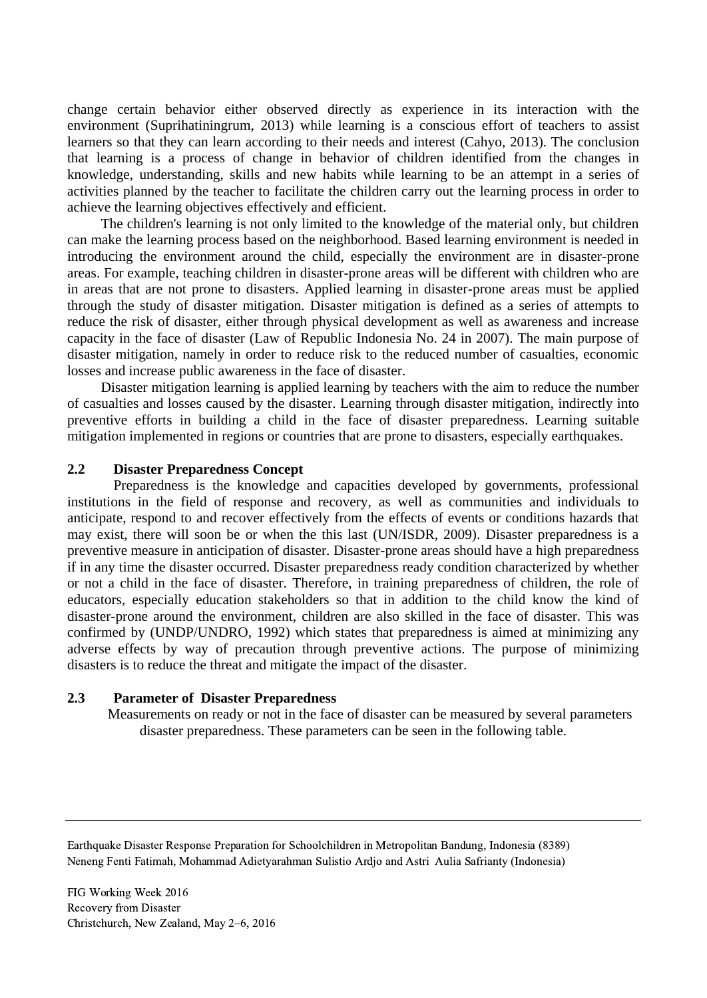change certain behavior either observed directly as experience in its interaction with the environment (Suprihatiningrum, 2013) while learning is a conscious effort of teachers to assist learners so that they can learn according to their needs and interest (Cahyo, 2013). The conclusion that learning is a process of change in behavior of children identified from the changes in knowledge, understanding, skills and new habits while learning to be an attempt in a series of activities planned by the teacher to facilitate the children carry out the learning process in order to achieve the learning objectives effectively and efficient.

The children's learning is not only limited to the knowledge of the material only, but children can make the learning process based on the neighborhood. Based learning environment is needed in introducing the environment around the child, especially the environment are in disaster-prone areas. For example, teaching children in disaster-prone areas will be different with children who are in areas that are not prone to disasters. Applied learning in disaster-prone areas must be applied through the study of disaster mitigation. Disaster mitigation is defined as a series of attempts to reduce the risk of disaster, either through physical development as well as awareness and increase capacity in the face of disaster (Law of Republic Indonesia No. 24 in 2007). The main purpose of disaster mitigation, namely in order to reduce risk to the reduced number of casualties, economic losses and increase public awareness in the face of disaster.

Disaster mitigation learning is applied learning by teachers with the aim to reduce the number of casualties and losses caused by the disaster. Learning through disaster mitigation, indirectly into preventive efforts in building a child in the face of disaster preparedness. Learning suitable mitigation implemented in regions or countries that are prone to disasters, especially earthquakes.

#### **2.2 Disaster Preparedness Concept**

Preparedness is the knowledge and capacities developed by governments, professional institutions in the field of response and recovery, as well as communities and individuals to anticipate, respond to and recover effectively from the effects of events or conditions hazards that may exist, there will soon be or when the this last (UN/ISDR, 2009). Disaster preparedness is a preventive measure in anticipation of disaster. Disaster-prone areas should have a high preparedness if in any time the disaster occurred. Disaster preparedness ready condition characterized by whether or not a child in the face of disaster. Therefore, in training preparedness of children, the role of educators, especially education stakeholders so that in addition to the child know the kind of disaster-prone around the environment, children are also skilled in the face of disaster. This was confirmed by (UNDP/UNDRO, 1992) which states that preparedness is aimed at minimizing any adverse effects by way of precaution through preventive actions. The purpose of minimizing disasters is to reduce the threat and mitigate the impact of the disaster.

#### **2.3 Parameter of Disaster Preparedness**

Measurements on ready or not in the face of disaster can be measured by several parameters disaster preparedness. These parameters can be seen in the following table.

Earthquake Disaster Response Preparation for Schoolchildren in Metropolitan Bandung, Indonesia (8389) Neneng Fenti Fatimah, Mohammad Adietyarahman Sulistio Ardjo and Astri Aulia Safrianty (Indonesia)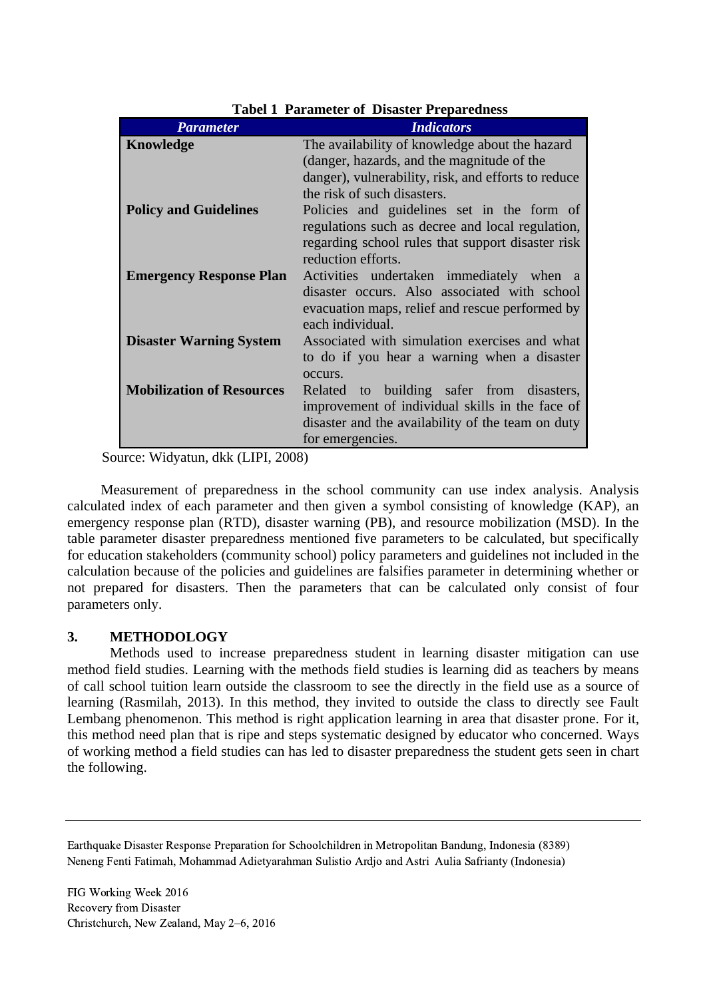| <b>Parameter</b>                 | <b>Indicators</b>                                   |  |
|----------------------------------|-----------------------------------------------------|--|
| Knowledge                        | The availability of knowledge about the hazard      |  |
|                                  | (danger, hazards, and the magnitude of the          |  |
|                                  | danger), vulnerability, risk, and efforts to reduce |  |
|                                  | the risk of such disasters.                         |  |
| <b>Policy and Guidelines</b>     | Policies and guidelines set in the form of          |  |
|                                  | regulations such as decree and local regulation,    |  |
|                                  | regarding school rules that support disaster risk   |  |
|                                  | reduction efforts.                                  |  |
| <b>Emergency Response Plan</b>   | Activities undertaken immediately when a            |  |
|                                  | disaster occurs. Also associated with school        |  |
|                                  | evacuation maps, relief and rescue performed by     |  |
|                                  | each individual.                                    |  |
| <b>Disaster Warning System</b>   | Associated with simulation exercises and what       |  |
|                                  | to do if you hear a warning when a disaster         |  |
|                                  | occurs.                                             |  |
| <b>Mobilization of Resources</b> | to building safer from disasters,<br>Related        |  |
|                                  | improvement of individual skills in the face of     |  |
|                                  | disaster and the availability of the team on duty   |  |
|                                  | for emergencies.                                    |  |

**Tabel 1 Parameter of Disaster Preparedness**

Source: Widyatun, dkk (LIPI, 2008)

Measurement of preparedness in the school community can use index analysis. Analysis calculated index of each parameter and then given a symbol consisting of knowledge (KAP), an emergency response plan (RTD), disaster warning (PB), and resource mobilization (MSD). In the table parameter disaster preparedness mentioned five parameters to be calculated, but specifically for education stakeholders (community school) policy parameters and guidelines not included in the calculation because of the policies and guidelines are falsifies parameter in determining whether or not prepared for disasters. Then the parameters that can be calculated only consist of four parameters only.

# **3. METHODOLOGY**

Methods used to increase preparedness student in learning disaster mitigation can use method field studies. Learning with the methods field studies is learning did as teachers by means of call school tuition learn outside the classroom to see the directly in the field use as a source of learning (Rasmilah, 2013). In this method, they invited to outside the class to directly see Fault Lembang phenomenon. This method is right application learning in area that disaster prone. For it, this method need plan that is ripe and steps systematic designed by educator who concerned. Ways of working method a field studies can has led to disaster preparedness the student gets seen in chart the following.

Earthquake Disaster Response Preparation for Schoolchildren in Metropolitan Bandung, Indonesia (8389) Neneng Fenti Fatimah, Mohammad Adietyarahman Sulistio Ardjo and Astri Aulia Safrianty (Indonesia)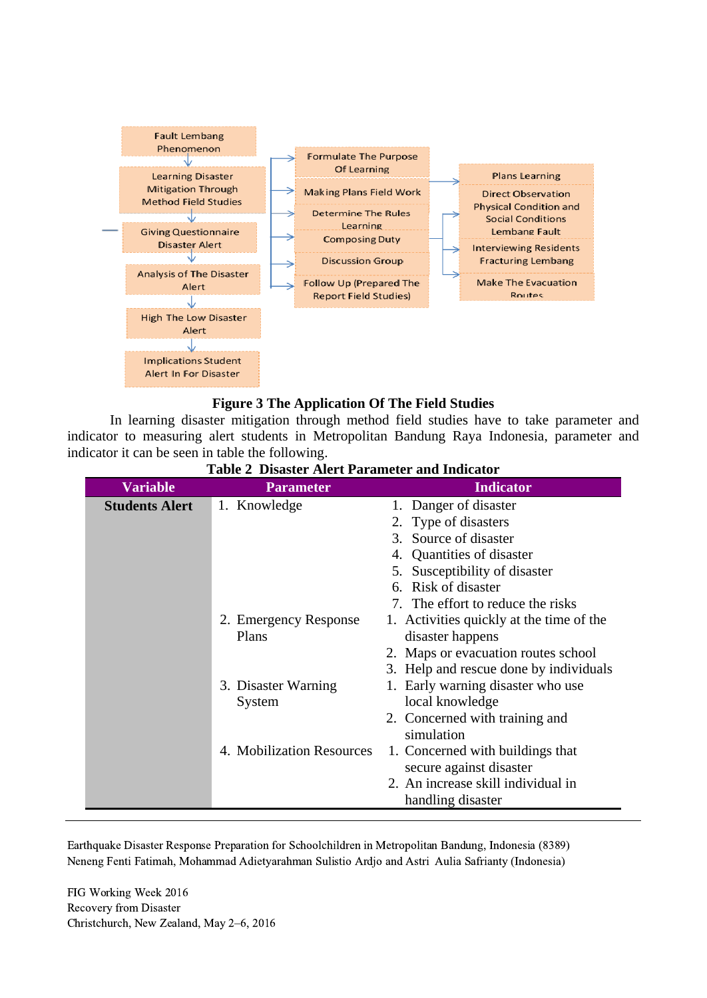

#### **Figure 3 The Application Of The Field Studies**

In learning disaster mitigation through method field studies have to take parameter and indicator to measuring alert students in Metropolitan Bandung Raya Indonesia, parameter and indicator it can be seen in table the following.

| <b>Variable</b>       | <b>Parameter</b>          | <b>Indicator</b>                         |
|-----------------------|---------------------------|------------------------------------------|
| <b>Students Alert</b> | 1. Knowledge              | 1. Danger of disaster                    |
|                       |                           | 2. Type of disasters                     |
|                       |                           | 3. Source of disaster                    |
|                       |                           | 4. Quantities of disaster                |
|                       |                           | 5. Susceptibility of disaster            |
|                       |                           | 6. Risk of disaster                      |
|                       |                           | 7. The effort to reduce the risks        |
|                       | 2. Emergency Response     | 1. Activities quickly at the time of the |
|                       | Plans                     | disaster happens                         |
|                       |                           | 2. Maps or evacuation routes school      |
|                       |                           | 3. Help and rescue done by individuals   |
|                       | 3. Disaster Warning       | Early warning disaster who use           |
|                       | System                    | local knowledge                          |
|                       |                           | 2. Concerned with training and           |
|                       |                           | simulation                               |
|                       | 4. Mobilization Resources | 1. Concerned with buildings that         |
|                       |                           | secure against disaster                  |
|                       |                           | 2. An increase skill individual in       |
|                       |                           | handling disaster                        |

**Table 2 Disaster Alert Parameter and Indicator**

Earthquake Disaster Response Preparation for Schoolchildren in Metropolitan Bandung, Indonesia (8389) Neneng Fenti Fatimah, Mohammad Adietyarahman Sulistio Ardjo and Astri Aulia Safrianty (Indonesia)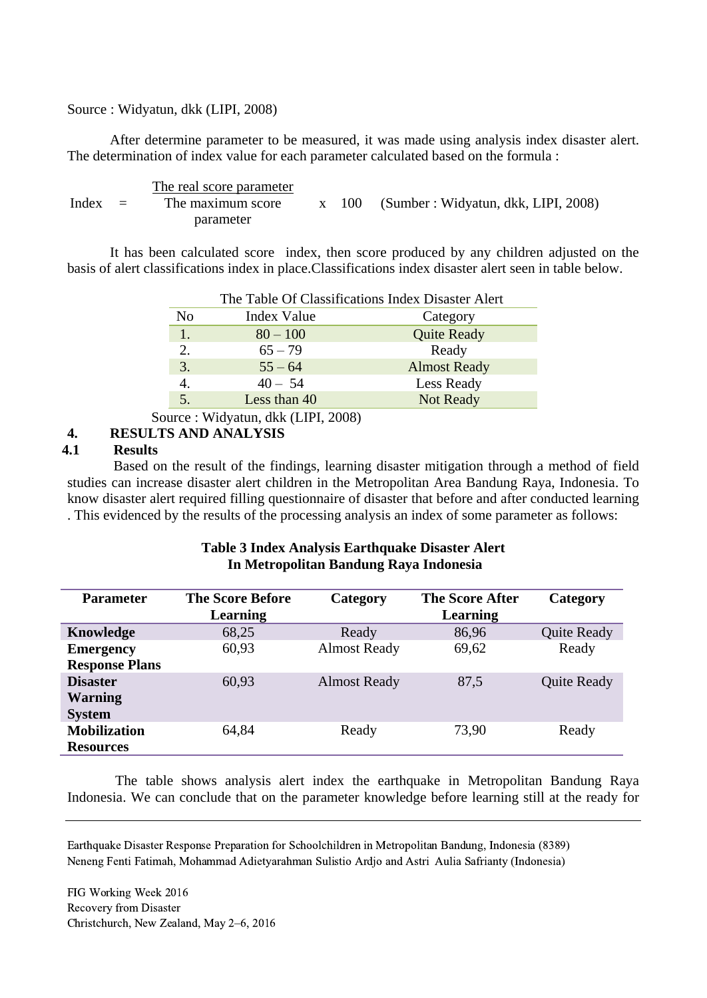#### Source : Widyatun, dkk (LIPI, 2008)

After determine parameter to be measured, it was made using analysis index disaster alert. The determination of index value for each parameter calculated based on the formula :

 $Index =$ The real score parameter The maximum score x 100 parameter (Sumber : Widyatun, dkk, LIPI, 2008)

It has been calculated score index, then score produced by any children adjusted on the basis of alert classifications index in place.Classifications index disaster alert seen in table below.

|                  | The Table Of Classifications Index Disaster Alert |                     |  |
|------------------|---------------------------------------------------|---------------------|--|
| No               | Index Value                                       | Category            |  |
| 1.               | $80 - 100$                                        | <b>Quite Ready</b>  |  |
| 2.               | $65 - 79$                                         | Ready               |  |
| 3.               | $55 - 64$                                         | <b>Almost Ready</b> |  |
| $\overline{4}$ . | $40 - 54$                                         | Less Ready          |  |
|                  | Less than 40                                      | Not Ready           |  |

Source : Widyatun, dkk (LIPI, 2008)

## **4. RESULTS AND ANALYSIS**

#### **4.1 Results**

Based on the result of the findings, learning disaster mitigation through a method of field studies can increase disaster alert children in the Metropolitan Area Bandung Raya, Indonesia. To know disaster alert required filling questionnaire of disaster that before and after conducted learning . This evidenced by the results of the processing analysis an index of some parameter as follows:

### **Table 3 Index Analysis Earthquake Disaster Alert In Metropolitan Bandung Raya Indonesia**

| <b>Parameter</b>      | <b>The Score Before</b><br>Learning | Category            | <b>The Score After</b><br><b>Learning</b> | Category           |
|-----------------------|-------------------------------------|---------------------|-------------------------------------------|--------------------|
| Knowledge             | 68,25                               | Ready               | 86,96                                     | <b>Quite Ready</b> |
| <b>Emergency</b>      | 60,93                               | <b>Almost Ready</b> | 69,62                                     | Ready              |
| <b>Response Plans</b> |                                     |                     |                                           |                    |
| <b>Disaster</b>       | 60,93                               | <b>Almost Ready</b> | 87,5                                      | <b>Quite Ready</b> |
| <b>Warning</b>        |                                     |                     |                                           |                    |
| <b>System</b>         |                                     |                     |                                           |                    |
| <b>Mobilization</b>   | 64,84                               | Ready               | 73,90                                     | Ready              |
| <b>Resources</b>      |                                     |                     |                                           |                    |

The table shows analysis alert index the earthquake in Metropolitan Bandung Raya Indonesia. We can conclude that on the parameter knowledge before learning still at the ready for

Earthquake Disaster Response Preparation for Schoolchildren in Metropolitan Bandung, Indonesia (8389) Neneng Fenti Fatimah, Mohammad Adietyarahman Sulistio Ardjo and Astri Aulia Safrianty (Indonesia)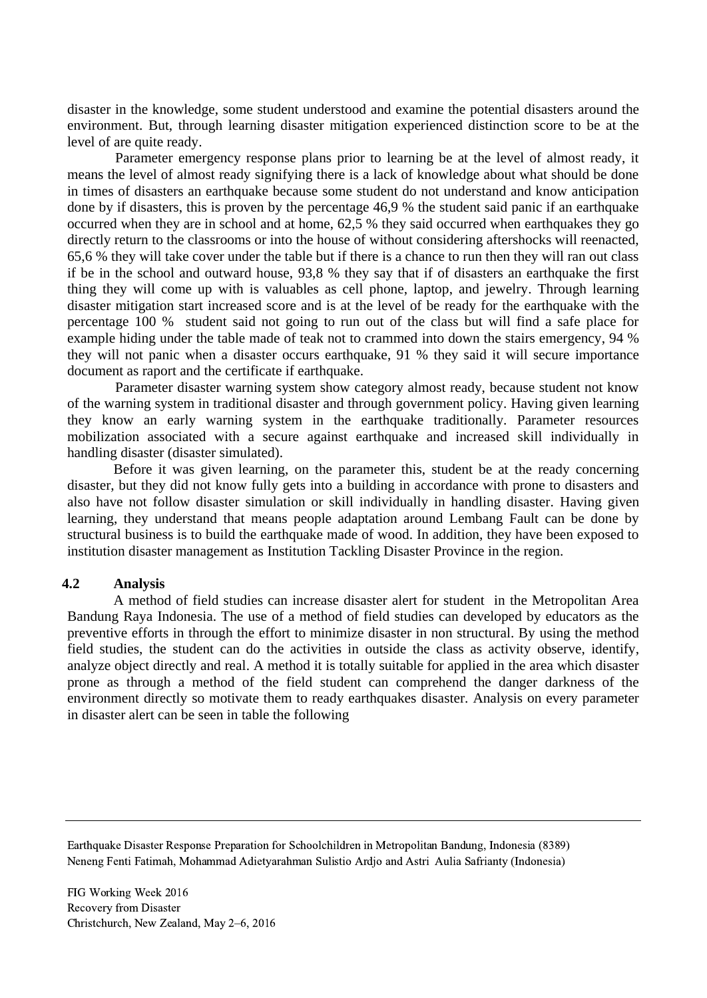disaster in the knowledge, some student understood and examine the potential disasters around the environment. But, through learning disaster mitigation experienced distinction score to be at the level of are quite ready.

Parameter emergency response plans prior to learning be at the level of almost ready, it means the level of almost ready signifying there is a lack of knowledge about what should be done in times of disasters an earthquake because some student do not understand and know anticipation done by if disasters, this is proven by the percentage 46,9 % the student said panic if an earthquake occurred when they are in school and at home, 62,5 % they said occurred when earthquakes they go directly return to the classrooms or into the house of without considering aftershocks will reenacted, 65,6 % they will take cover under the table but if there is a chance to run then they will ran out class if be in the school and outward house, 93,8 % they say that if of disasters an earthquake the first thing they will come up with is valuables as cell phone, laptop, and jewelry. Through learning disaster mitigation start increased score and is at the level of be ready for the earthquake with the percentage 100 % student said not going to run out of the class but will find a safe place for example hiding under the table made of teak not to crammed into down the stairs emergency, 94 % they will not panic when a disaster occurs earthquake, 91 % they said it will secure importance document as raport and the certificate if earthquake.

Parameter disaster warning system show category almost ready, because student not know of the warning system in traditional disaster and through government policy. Having given learning they know an early warning system in the earthquake traditionally. Parameter resources mobilization associated with a secure against earthquake and increased skill individually in handling disaster (disaster simulated).

Before it was given learning, on the parameter this, student be at the ready concerning disaster, but they did not know fully gets into a building in accordance with prone to disasters and also have not follow disaster simulation or skill individually in handling disaster. Having given learning, they understand that means people adaptation around Lembang Fault can be done by structural business is to build the earthquake made of wood. In addition, they have been exposed to institution disaster management as Institution Tackling Disaster Province in the region.

#### **4.2 Analysis**

A method of field studies can increase disaster alert for student in the Metropolitan Area Bandung Raya Indonesia. The use of a method of field studies can developed by educators as the preventive efforts in through the effort to minimize disaster in non structural. By using the method field studies, the student can do the activities in outside the class as activity observe, identify, analyze object directly and real. A method it is totally suitable for applied in the area which disaster prone as through a method of the field student can comprehend the danger darkness of the environment directly so motivate them to ready earthquakes disaster. Analysis on every parameter in disaster alert can be seen in table the following

Earthquake Disaster Response Preparation for Schoolchildren in Metropolitan Bandung, Indonesia (8389) Neneng Fenti Fatimah, Mohammad Adietyarahman Sulistio Ardjo and Astri Aulia Safrianty (Indonesia)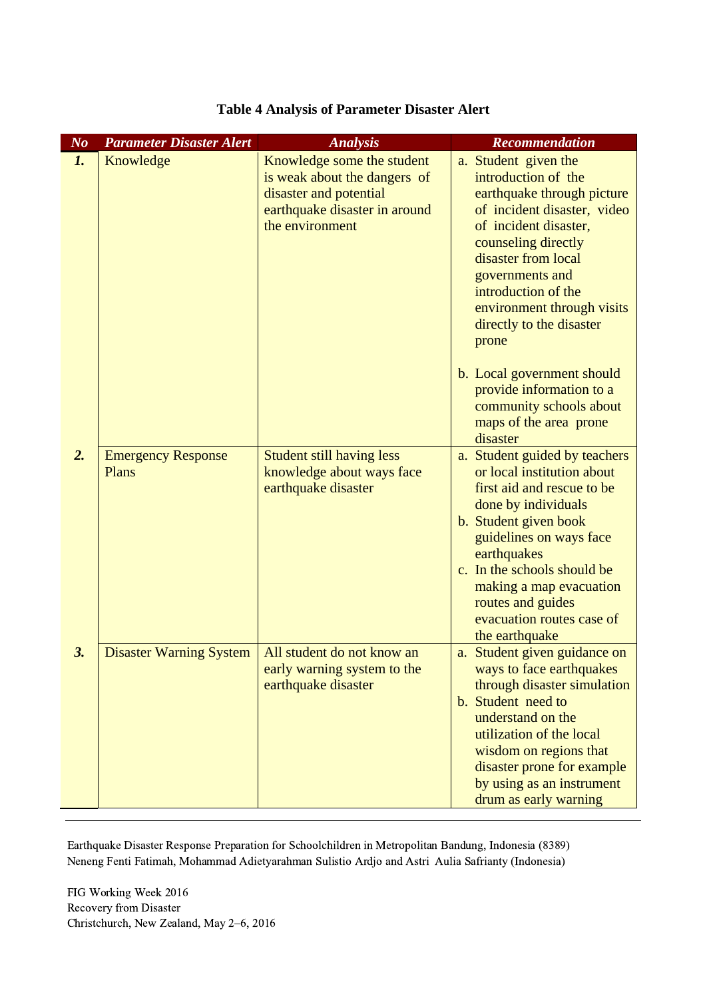| N <sub>o</sub> | <b>Parameter Disaster Alert</b>    | <b>Analysis</b>                                                                                                                          | Recommendation                                                                                                                                                                                                                                                                                                    |
|----------------|------------------------------------|------------------------------------------------------------------------------------------------------------------------------------------|-------------------------------------------------------------------------------------------------------------------------------------------------------------------------------------------------------------------------------------------------------------------------------------------------------------------|
| $\mathbf{1}$ . | Knowledge                          | Knowledge some the student<br>is weak about the dangers of<br>disaster and potential<br>earthquake disaster in around<br>the environment | a. Student given the<br>introduction of the<br>earthquake through picture<br>of incident disaster, video<br>of incident disaster,<br>counseling directly<br>disaster from local<br>governments and<br>introduction of the<br>environment through visits<br>directly to the disaster<br>prone                      |
|                |                                    |                                                                                                                                          | b. Local government should<br>provide information to a<br>community schools about<br>maps of the area prone<br>disaster                                                                                                                                                                                           |
| 2.             | <b>Emergency Response</b><br>Plans | <b>Student still having less</b><br>knowledge about ways face<br>earthquake disaster                                                     | a. Student guided by teachers<br>or local institution about<br>first aid and rescue to be<br>done by individuals<br>b. Student given book<br>guidelines on ways face<br>earthquakes<br>c. In the schools should be<br>making a map evacuation<br>routes and guides<br>evacuation routes case of<br>the earthquake |
| 3.             | <b>Disaster Warning System</b>     | All student do not know an<br>early warning system to the<br>earthquake disaster                                                         | a. Student given guidance on<br>ways to face earthquakes<br>through disaster simulation<br>b. Student need to<br>understand on the<br>utilization of the local<br>wisdom on regions that<br>disaster prone for example<br>by using as an instrument<br>drum as early warning                                      |

# **Table 4 Analysis of Parameter Disaster Alert**

Earthquake Disaster Response Preparation for Schoolchildren in Metropolitan Bandung, Indonesia (8389) Neneng Fenti Fatimah, Mohammad Adietyarahman Sulistio Ardjo and Astri Aulia Safrianty (Indonesia)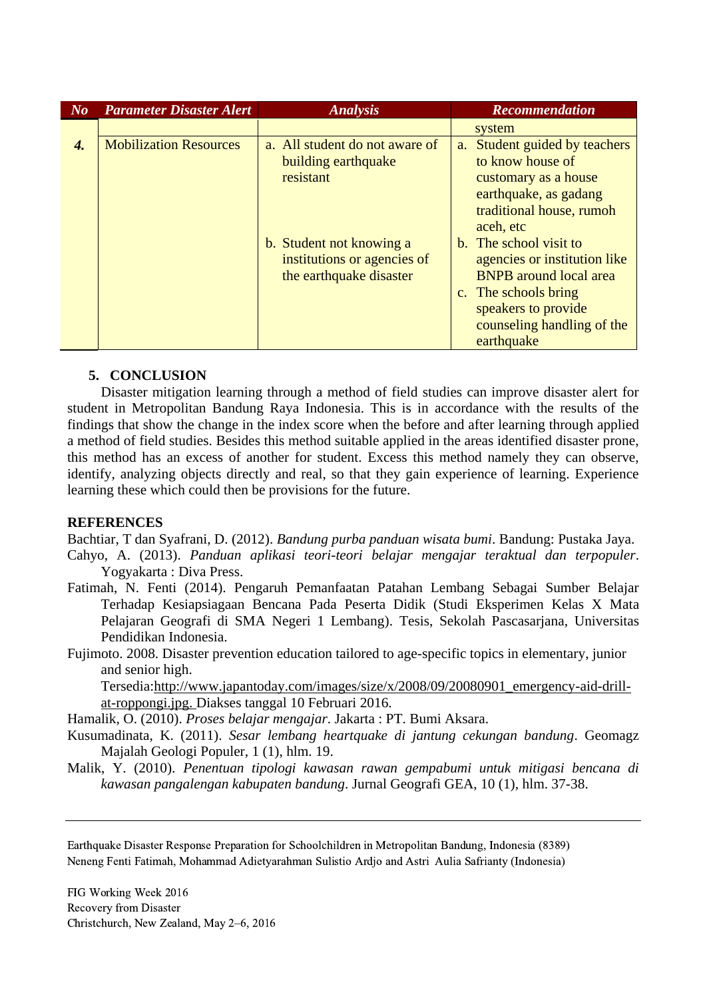| $N_{0}$ | <b>Parameter Disaster Alert</b> | <b>Analysis</b>                                                                    | <b>Recommendation</b>                                                                                                                                                              |
|---------|---------------------------------|------------------------------------------------------------------------------------|------------------------------------------------------------------------------------------------------------------------------------------------------------------------------------|
|         |                                 |                                                                                    | system                                                                                                                                                                             |
| 4.      | <b>Mobilization Resources</b>   | a. All student do not aware of<br>building earthquake<br>resistant                 | Student guided by teachers<br>a.<br>to know house of<br>customary as a house<br>earthquake, as gadang<br>traditional house, rumoh<br>aceh, etc                                     |
|         |                                 | b. Student not knowing a<br>institutions or agencies of<br>the earthquake disaster | b. The school visit to<br>agencies or institution like<br><b>BNPB</b> around local area<br>c. The schools bring<br>speakers to provide<br>counseling handling of the<br>earthquake |

# **5. CONCLUSION**

Disaster mitigation learning through a method of field studies can improve disaster alert for student in Metropolitan Bandung Raya Indonesia. This is in accordance with the results of the findings that show the change in the index score when the before and after learning through applied a method of field studies. Besides this method suitable applied in the areas identified disaster prone, this method has an excess of another for student. Excess this method namely they can observe, identify, analyzing objects directly and real, so that they gain experience of learning. Experience learning these which could then be provisions for the future.

#### **REFERENCES**

Bachtiar, T dan Syafrani, D. (2012). *Bandung purba panduan wisata bumi*. Bandung: Pustaka Jaya.

- Cahyo, A. (2013). *Panduan aplikasi teori-teori belajar mengajar teraktual dan terpopuler*. Yogyakarta : Diva Press.
- Fatimah, N. Fenti (2014). Pengaruh Pemanfaatan Patahan Lembang Sebagai Sumber Belajar Terhadap Kesiapsiagaan Bencana Pada Peserta Didik (Studi Eksperimen Kelas X Mata Pelajaran Geografi di SMA Negeri 1 Lembang). Tesis, Sekolah Pascasarjana, Universitas Pendidikan Indonesia.
- Fujimoto. 2008. Disaster prevention education tailored to age-specific topics in elementary, junior and senior high.

Tersedia[:http://www.japantoday.com/images/size/x/2008/09/20080901\\_emergency-aid-drill](http://www.japantoday.com/images/size/x/2008/09/20080901_emergency-aid-drill-at-roppongi.jpg)[at-roppongi.jpg.](http://www.japantoday.com/images/size/x/2008/09/20080901_emergency-aid-drill-at-roppongi.jpg) Diakses tanggal 10 Februari 2016.

Hamalik, O. (2010). *Proses belajar mengajar*. Jakarta : PT. Bumi Aksara.

- Kusumadinata, K. (2011). *Sesar lembang heartquake di jantung cekungan bandung*. Geomagz Majalah Geologi Populer, 1 (1), hlm. 19.
- Malik, Y. (2010). *Penentuan tipologi kawasan rawan gempabumi untuk mitigasi bencana di kawasan pangalengan kabupaten bandung*. Jurnal Geografi GEA, 10 (1), hlm. 37-38.

Earthquake Disaster Response Preparation for Schoolchildren in Metropolitan Bandung, Indonesia (8389) Neneng Fenti Fatimah, Mohammad Adietyarahman Sulistio Ardjo and Astri Aulia Safrianty (Indonesia)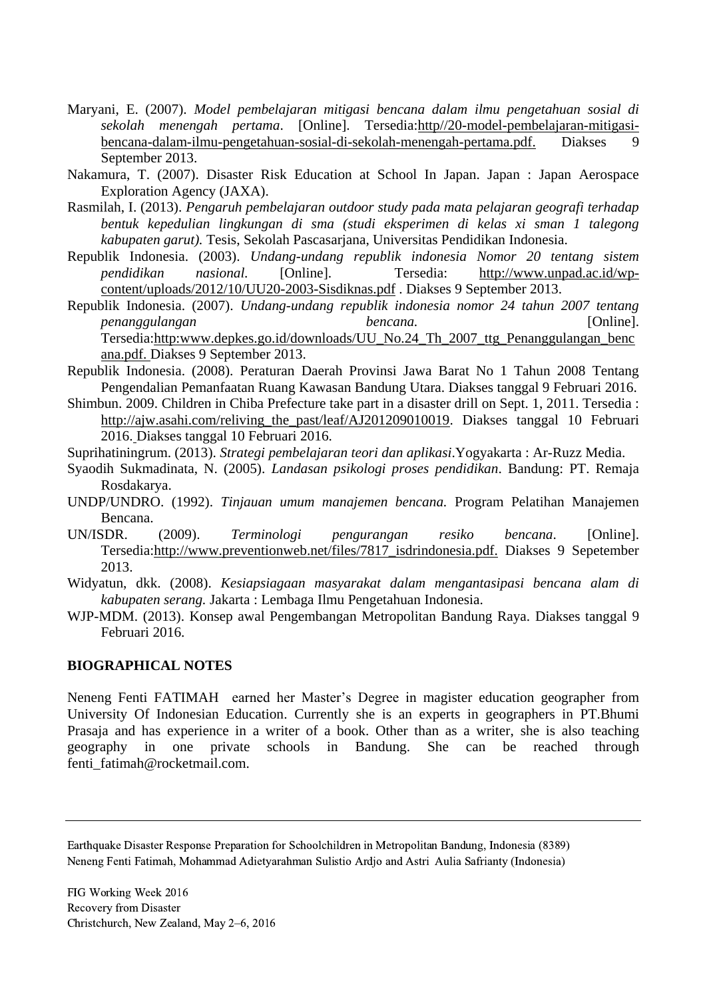- Maryani, E. (2007). *Model pembelajaran mitigasi bencana dalam ilmu pengetahuan sosial di sekolah menengah pertama*. [Online]. Tersedia:http//20-model-pembelajaran-mitigasibencana-dalam-ilmu-pengetahuan-sosial-di-sekolah-menengah-pertama.pdf. Diakses 9 September 2013.
- Nakamura, T. (2007). Disaster Risk Education at School In Japan. Japan : Japan Aerospace Exploration Agency (JAXA).
- Rasmilah, I. (2013). *Pengaruh pembelajaran outdoor study pada mata pelajaran geografi terhadap bentuk kepedulian lingkungan di sma (studi eksperimen di kelas xi sman 1 talegong kabupaten garut).* Tesis, Sekolah Pascasarjana, Universitas Pendidikan Indonesia.
- Republik Indonesia. (2003). *Undang-undang republik indonesia Nomor 20 tentang sistem pendidikan nasional.* [Online]. Tersedia: [http://www.unpad.ac.id/wp](http://www.unpad.ac.id/wp-content/uploads/2012/10/UU20-2003-Sisdiknas.pdf)[content/uploads/2012/10/UU20-2003-Sisdiknas.pdf](http://www.unpad.ac.id/wp-content/uploads/2012/10/UU20-2003-Sisdiknas.pdf) . Diakses 9 September 2013.
- Republik Indonesia. (2007). *Undang-undang republik indonesia nomor 24 tahun 2007 tentang penanggulangan bencana.* [Online]. Tersedia:http:www.depkes.go.id/downloads/UU\_No.24\_Th\_2007\_ttg\_Penanggulangan\_benc ana.pdf. Diakses 9 September 2013.
- Republik Indonesia. (2008). Peraturan Daerah Provinsi Jawa Barat No 1 Tahun 2008 Tentang Pengendalian Pemanfaatan Ruang Kawasan Bandung Utara. Diakses tanggal 9 Februari 2016.
- Shimbun. 2009. Children in Chiba Prefecture take part in a disaster drill on Sept. 1, 2011. Tersedia : [http://ajw.asahi.com/reliving\\_the\\_past/leaf/AJ201209010019.](http://ajw.asahi.com/reliving_the_past/leaf/AJ201209010019) Diakses tanggal 10 Februari 2016. Diakses tanggal 10 Februari 2016.
- Suprihatiningrum. (2013). *Strategi pembelajaran teori dan aplikasi*.Yogyakarta : Ar-Ruzz Media.
- Syaodih Sukmadinata, N. (2005). *Landasan psikologi proses pendidikan*. Bandung: PT. Remaja Rosdakarya.
- UNDP/UNDRO. (1992). *Tinjauan umum manajemen bencana.* Program Pelatihan Manajemen Bencana.
- UN/ISDR. (2009). *Terminologi pengurangan resiko bencana*. [Online]. Tersedia:http://www.preventionweb.net/files/7817\_isdrindonesia.pdf. Diakses 9 Sepetember 2013.
- Widyatun, dkk. (2008). *Kesiapsiagaan masyarakat dalam mengantasipasi bencana alam di kabupaten serang.* Jakarta : Lembaga Ilmu Pengetahuan Indonesia.
- WJP-MDM. (2013). Konsep awal Pengembangan Metropolitan Bandung Raya. Diakses tanggal 9 Februari 2016.

#### **BIOGRAPHICAL NOTES**

Neneng Fenti FATIMAH earned her Master's Degree in magister education geographer from University Of Indonesian Education. Currently she is an experts in geographers in PT.Bhumi Prasaja and has experience in a writer of a book. Other than as a writer, she is also teaching geography in one private schools in Bandung. She can be reached through fenti\_fatimah@rocketmail.com.

Earthquake Disaster Response Preparation for Schoolchildren in Metropolitan Bandung, Indonesia (8389) Neneng Fenti Fatimah, Mohammad Adietyarahman Sulistio Ardjo and Astri Aulia Safrianty (Indonesia)